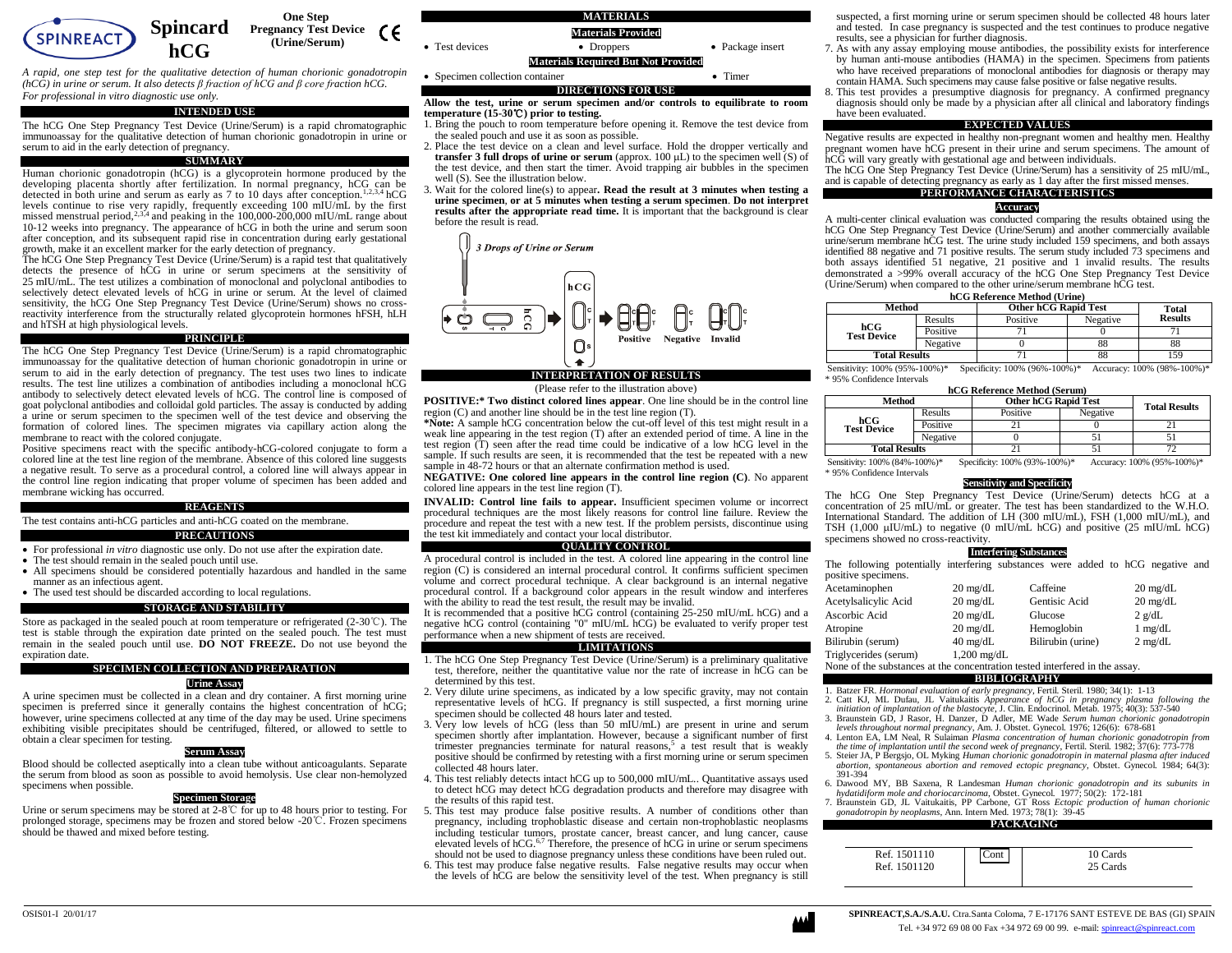

*A rapid, one step test for the qualitative detection of human chorionic gonadotropin (hCG) in urine or serum. It also detects β fraction of hCG and β core fraction hCG. For professional in vitro diagnostic use only.*

#### **INTENDED USE**

The hCG One Step Pregnancy Test Device (Urine/Serum) is a rapid chromatographic immunoassay for the qualitative detection of human chorionic gonadotropin in urine or serum to aid in the early detection of pregnancy.

## **SUMMARY**

Human chorionic gonadotropin (hCG) is a glycoprotein hormone produced by the developing placenta shortly after fertilization. In normal pregnancy, hCG can be detected in both urine and serum as early as 7 to 10 days after conception.<sup>1,2,3,4</sup> hCG levels continue to rise very rapidly, frequently exceeding 100 mIU/mL by the first missed menstrual period,<sup>2,3,4</sup> and peaking in the 100,000-200,000 mIU/mL range about 10-12 weeks into pregnancy. The appearance of hCG in both the urine and serum soon after conception, and its subsequent rapid rise in concentration during early gestational growth, make it an excellent marker for the early detection of pregnancy.

The hCG One Step Pregnancy Test Device (Urine/Serum) is a rapid test that qualitatively detects the presence of hCG in urine or serum specimens at the sensitivity of 25 mIU/mL. The test utilizes a combination of monoclonal and polyclonal antibodies to selectively detect elevated levels of hCG in urine or serum. At the level of claimed sensitivity, the hCG One Step Pregnancy Test Device (Urine/Serum) shows no crossreactivity interference from the structurally related glycoprotein hormones hFSH, hLH and hTSH at high physiological levels.

#### **PRINCIPLE**

The hCG One Step Pregnancy Test Device (Urine/Serum) is a rapid chromatographic immunoassay for the qualitative detection of human chorionic gonadotropin in urine or serum to aid in the early detection of pregnancy. The test uses two lines to indicate results. The test line utilizes a combination of antibodies including a monoclonal hCG antibody to selectively detect elevated levels of hCG. The control line is composed of goat polyclonal antibodies and colloidal gold particles. The assay is conducted by adding a urine or serum specimen to the specimen well of the test device and observing the formation of colored lines. The specimen migrates via capillary action along the membrane to react with the colored conjugate.

Positive specimens react with the specific antibody-hCG-colored conjugate to form a colored line at the test line region of the membrane. Absence of this colored line suggests a negative result. To serve as a procedural control, a colored line will always appear in the control line region indicating that proper volume of specimen has been added and membrane wicking has occurred.

#### **REAGENTS**

The test contains anti-hCG particles and anti-hCG coated on the membrane.

## **PRECAUTIONS**

• For professional *in vitro* diagnostic use only. Do not use after the expiration date.

- The test should remain in the sealed pouch until use.
- All specimens should be considered potentially hazardous and handled in the same manner as an infectious agent.
- The used test should be discarded according to local regulations.

## **STORAGE AND STABILITY**

Store as packaged in the sealed pouch at room temperature or refrigerated (2-30℃). The test is stable through the expiration date printed on the sealed pouch. The test must remain in the sealed pouch until use. **DO NOT FREEZE.** Do not use beyond the expiration date.

## **SPECIMEN COLLECTION AND PREPARATION**

## **Urine Assay**

A urine specimen must be collected in a clean and dry container. A first morning urine specimen is preferred since it generally contains the highest concentration of hCG; however, urine specimens collected at any time of the day may be used. Urine specimens exhibiting visible precipitates should be centrifuged, filtered, or allowed to settle to obtain a clear specimen for testing.

## **Serum Assay**

Blood should be collected aseptically into a clean tube without anticoagulants. Separate the serum from blood as soon as possible to avoid hemolysis. Use clear non-hemolyzed specimens when possible.

## **Specimen Storage**

Urine or serum specimens may be stored at  $2-8^{\circ}$  for up to 48 hours prior to testing. For prolonged storage, specimens may be frozen and stored below -20℃. Frozen specimens should be thawed and mixed before testing.



**Allow the test, urine or serum specimen and/or controls to equilibrate to room temperature (15-30**℃**) prior to testing.**

- 1. Bring the pouch to room temperature before opening it. Remove the test device from the sealed pouch and use it as soon as possible.
- 2. Place the test device on a clean and level surface. Hold the dropper vertically and **transfer 3 full drops of urine or serum** (approx.  $100 \mu L$ ) to the specimen well (S) of the test device, and then start the timer. Avoid trapping air bubbles in the specimen well (S). See the illustration below.
- 3. Wait for the colored line(s) to appear**. Read the result at 3 minutes when testing a urine specimen**, **or at 5 minutes when testing a serum specimen**. **Do not interpret results after the appropriate read time.** It is important that the background is clear before the result is read.



# (Please refer to the illustration above)

**POSITIVE:\* Two distinct colored lines appear**. One line should be in the control line region (C) and another line should be in the test line region (T).

**\*Note:** A sample hCG concentration below the cut-off level of this test might result in a weak line appearing in the test region (T) after an extended period of time. A line in the test region (T) seen after the read time could be indicative of a low hCG level in the sample. If such results are seen, it is recommended that the test be repeated with a new sample in 48-72 hours or that an alternate confirmation method is used.

**NEGATIVE: One colored line appears in the control line region (C)**. No apparent colored line appears in the test line region (T).

**INVALID: Control line fails to appear.** Insufficient specimen volume or incorrect procedural techniques are the most likely reasons for control line failure. Review the procedure and repeat the test with a new test. If the problem persists, discontinue using the test kit immediately and contact your local distributor.

#### **QUALITY CONTROL**

A procedural control is included in the test. A colored line appearing in the control line region (C) is considered an internal procedural control. It confirms sufficient specimen volume and correct procedural technique. A clear background is an internal negative procedural control. If a background color appears in the result window and interferes with the ability to read the test result, the result may be invalid.

It is recommended that a positive hCG control (containing 25-250 mIU/mL hCG) and a negative hCG control (containing "0" mIU/mL hCG) be evaluated to verify proper test performance when a new shipment of tests are received.

## **LIMITATIONS**

- 1. The hCG One Step Pregnancy Test Device (Urine/Serum) is a preliminary qualitative test, therefore, neither the quantitative value nor the rate of increase in hCG can be determined by this test.
- 2. Very dilute urine specimens, as indicated by a low specific gravity, may not contain representative levels of hCG. If pregnancy is still suspected, a first morning urine specimen should be collected 48 hours later and tested.
- 3. Very low levels of hCG (less than 50 mIU/mL) are present in urine and serum specimen shortly after implantation. However, because a significant number of first trimester pregnancies terminate for natural reasons,<sup>5</sup> a test result that is weakly positive should be confirmed by retesting with a first morning urine or serum specimen collected 48 hours later.
- 4. This test reliably detects intact hCG up to 500,000 mIU/mL.. Quantitative assays used to detect hCG may detect hCG degradation products and therefore may disagree with the results of this rapid test.
- 5. This test may produce false positive results. A number of conditions other than pregnancy, including trophoblastic disease and certain non-trophoblastic neoplasms including testicular tumors, prostate cancer, breast cancer, and lung cancer, cause elevated levels of hCG.<sup>6,7</sup> Therefore, the presence of hCG in urine or serum specimens should not be used to diagnose pregnancy unless these conditions have been ruled out.
- 6. This test may produce false negative results. False negative results may occur when the levels of hCG are below the sensitivity level of the test. When pregnancy is still

suspected, a first morning urine or serum specimen should be collected 48 hours later and tested. In case pregnancy is suspected and the test continues to produce negative results, see a physician for further diagnosis.

- 7. As with any assay employing mouse antibodies, the possibility exists for interference by human anti-mouse antibodies (HAMA) in the specimen. Specimens from patients who have received preparations of monoclonal antibodies for diagnosis or therapy may contain HAMA. Such specimens may cause false positive or false negative results.
- 8. This test provides a presumptive diagnosis for pregnancy. A confirmed pregnancy diagnosis should only be made by a physician after all clinical and laboratory findings have been evaluated.

## **EXPECTED VALUES**

Negative results are expected in healthy non-pregnant women and healthy men. Healthy pregnant women have hCG present in their urine and serum specimens. The amount of hCG will vary greatly with gestational age and between individuals.

The hCG One Step Pregnancy Test Device (Urine/Serum) has a sensitivity of 25 mIU/mL, and is capable of detecting pregnancy as early as 1 day after the first missed menses.

# **PERFORMANCE CHARACTERISTICS**

#### **Accuracy**

A multi-center clinical evaluation was conducted comparing the results obtained using the hCG One Step Pregnancy Test Device (Urine/Serum) and another commercially available urine/serum membrane hCG test. The urine study included 159 specimens, and both assays identified 88 negative and 71 positive results. The serum study included 73 specimens and both assays identified 51 negative, 21 positive and 1 invalid results. The results demonstrated a >99% overall accuracy of the hCG One Step Pregnancy Test Device (Urine/Serum) when compared to the other urine/serum membrane hCG test.

## **hCG Reference Method (Urine)**

| Method                    |          | <b>Other hCG Rapid Test</b> | Total    |                |
|---------------------------|----------|-----------------------------|----------|----------------|
|                           | Results  | Positive                    | Negative | <b>Results</b> |
| hCG<br><b>Test Device</b> | Positive |                             |          |                |
|                           | Negative |                             | 88       | 88             |
| <b>Total Results</b>      |          |                             | 88       | 59ء            |

Sensitivity: 100% (95%-100%)\* Specificity: 100% (96%-100%)\* Accuracy: 100% (98%-100%)\* \* 95% Confidence Intervals

| hCG Reference Method (Serum) |  |  |  |  |  |
|------------------------------|--|--|--|--|--|
|------------------------------|--|--|--|--|--|

| Method                                                                                                   |          | <b>Other hCG Rapid Test</b> |          | <b>Total Results</b> |  |
|----------------------------------------------------------------------------------------------------------|----------|-----------------------------|----------|----------------------|--|
|                                                                                                          | Results  | Positive                    | Negative |                      |  |
| hCG<br><b>Test Device</b>                                                                                | Positive |                             |          |                      |  |
|                                                                                                          | Negative |                             |          |                      |  |
| <b>Total Results</b>                                                                                     |          |                             |          |                      |  |
| Constituting 1000/1240/1000<br>Specificity: 1000/ (020/ 1000/)*<br>$\Lambda$ courses 1000/ (050/ 1000/)* |          |                             |          |                      |  |

Sensitivity: 100% (84%-100%)\* Specificity: 100% (93%-100%)\* Accuracy: 100% (95%-100%)\* \* 95% Confidence Intervals

## **Sensitivity and Specificity**

The hCG One Step Pregnancy Test Device (Urine/Serum) detects hCG at a concentration of 25 mIU/mL or greater. The test has been standardized to the W.H.O. International Standard. The addition of LH (300 mIU/mL), FSH (1,000 mIU/mL), and TSH  $(1,000 \text{ µU/mL})$  to negative  $(0 \text{ mlU/mL hCG})$  and positive  $(25 \text{ mlU/mL hCG})$ specimens showed no cross-reactivity.

#### **Interfering Substances**

The following potentially interfering substances were added to hCG negative and positive specimens.

| Acetaminophen         | $20 \text{ mg/dL}$    | Caffeine          | $20 \text{ mg/dL}$ |
|-----------------------|-----------------------|-------------------|--------------------|
| Acetylsalicylic Acid  | $20 \text{ mg/dL}$    | Gentisic Acid     | $20 \text{ mg/dL}$ |
| Ascorbic Acid         | $20 \text{ mg/dL}$    | Glucose           | $2 \text{ g/dL}$   |
| Atropine              | $20 \text{ mg/dL}$    | Hemoglobin        | $1 \text{ mg/dL}$  |
| Bilirubin (serum)     | $40 \text{ mg/dL}$    | Bilirubin (urine) | $2 \text{ mg/dL}$  |
| Triglycerides (serum) | $1,200 \text{ mg/dL}$ |                   |                    |
|                       |                       |                   |                    |

None of the substances at the concentration tested interfered in the assay.

# **BIBLIOGRAPHY**

- 1. Batzer FR. *Hormonal evaluation of early pregnancy*, Fertil. Steril*.* 1980; 34(1): 1-13 2. Catt KJ, ML Dufau, JL Vaitukaitis *Appearance of hCG in pregnancy plasma following the initiation of implantation of the blastocyte*, J. Clin. Endocrinol. Metab*.* 1975; 40(3): 537-540
- 3. Braunstein GD, J Rasor, H. Danzer, D Adler, ME Wade *Serum human chorionic gonadotropin levels throughout normal pregnancy*, Am. J. Obstet. Gynecol*.* 1976; 126(6): 678-681
- 4. Lenton EA, LM Neal, R Sulaiman *Plasma concentration of human chorionic gonadotropin from the time of implantation until the second week of pregnancy*, Fertil. Steril*.* 1982; 37(6): 773-778
- 5. Steier JA, P Bergsjo, OL Myking *Human chorionic gonadotropin in maternal plasma after induced abortion, spontaneous abortion and removed ectopic pregnancy*, Obstet. Gynecol*.* 1984; 64(3): 391-394
- 6. Dawood MY, BB Saxena, R Landesman *Human chorionic gonadotropin and its subunits in hydatidiform mole and choriocarcinoma*, Obstet. Gynecol*.* 1977; 50(2): 172-181
- 7. Braunstein GD, JL Vaitukaitis, PP Carbone, GT Ross *Ectopic production of human chorionic gonadotropin by neoplasms*, Ann. Intern Med*.* 1973; 78(1): 39-45

# **PACKAGING**

| Ref. 1501110<br>Ref. 1501120 | Cont | 10 Cards<br>25 Cards |
|------------------------------|------|----------------------|
|------------------------------|------|----------------------|

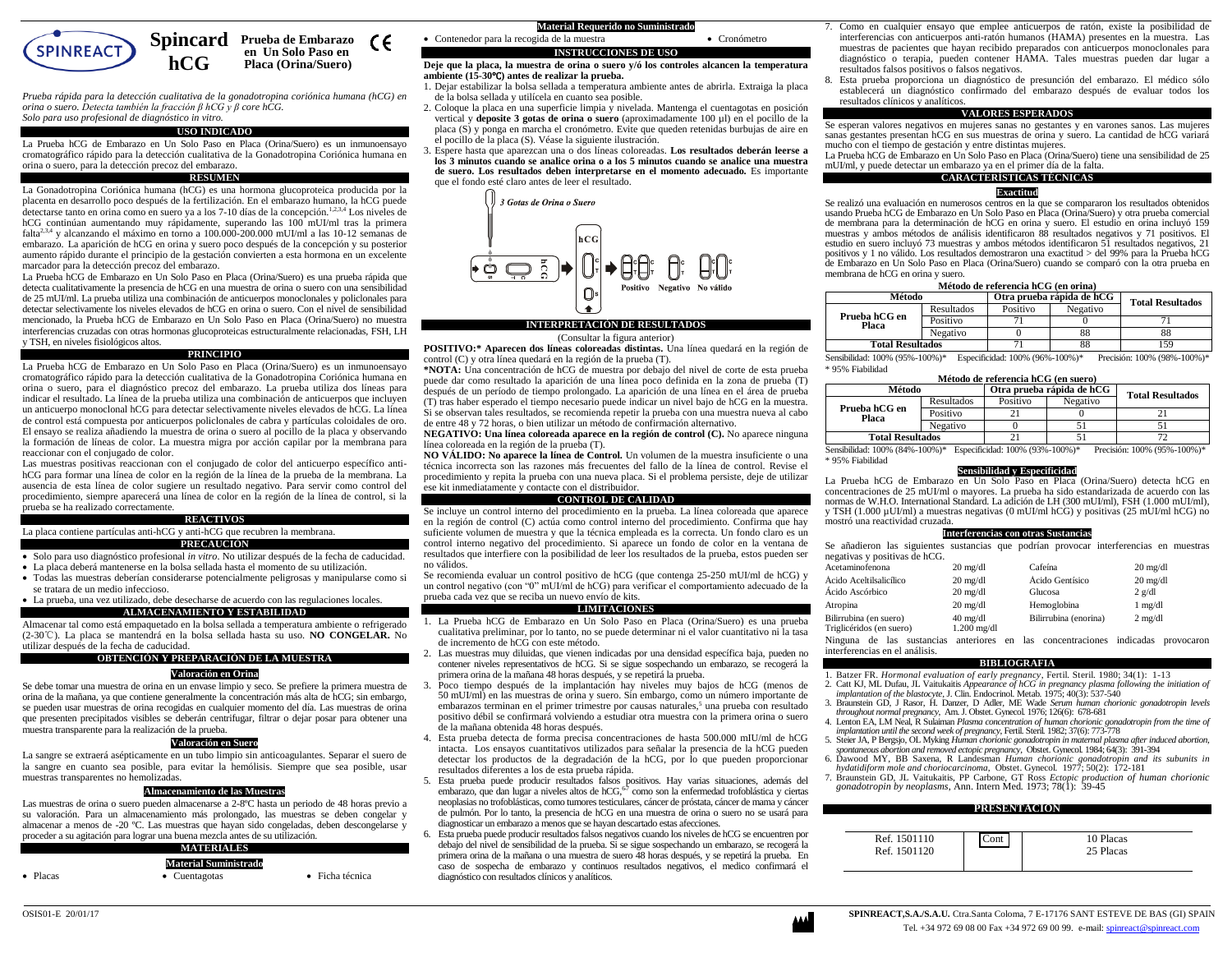

**Spincard** Prueba de Embarazo CE.  **en Un Solo Paso en Placa (Orina/Suero)**

*Prueba rápida para la detección cualitativa de la gonadotropina coriónica humana (hCG) en orina o suero. Detecta también la fracción β hCG y β core hCG. Solo para uso profesional de diagnóstico in vitro.*

**hCG**

## **USO INDICADO**

La Prueba hCG de Embarazo en Un Solo Paso en Placa (Orina/Suero) es un inmunoensayo cromatográfico rápido para la detección cualitativa de la Gonadotropina Coriónica humana en orina o suero, para la detección precoz del embarazo.

## **RESUMEN**

La Gonadotropina Coriónica humana (hCG) es una hormona glucoproteica producida por la placenta en desarrollo poco después de la fertilización. En el embarazo humano, la hCG puede detectarse tanto en orina como en suero ya a los 7-10 días de la concepción.<sup>1,2,3,4</sup> Los niveles de hCG continúan aumentando muy rápidamente, superando las 100 mUI/ml tras la primera falta<sup>2,3,4</sup> y alcanzando el máximo en torno a 100.000-200.000 mUI/ml a las 10-12 semanas de embarazo. La aparición de hCG en orina y suero poco después de la concepción y su posterior aumento rápido durante el principio de la gestación convierten a esta hormona en un excelente marcador para la detección precoz del embarazo.

La Prueba hCG de Embarazo en Un Solo Paso en Placa (Orina/Suero) es una prueba rápida que detecta cualitativamente la presencia de hCG en una muestra de orina o suero con una sensibilidad de 25 mUI/ml. La prueba utiliza una combinación de anticuerpos monoclonales y policlonales para detectar selectivamente los niveles elevados de hCG en orina o suero. Con el nivel de sensibilidad mencionado, la Prueba hCG de Embarazo en Un Solo Paso en Placa (Orina/Suero) no muestra interferencias cruzadas con otras hormonas glucoproteicas estructuralmente relacionadas, FSH, LH y TSH, en niveles fisiológicos altos.

#### **PRINCIPIO**

La Prueba hCG de Embarazo en Un Solo Paso en Placa (Orina/Suero) es un inmunoensayo cromatográfico rápido para la detección cualitativa de la Gonadotropina Coriónica humana en orina o suero, para el diagnóstico precoz del embarazo. La prueba utiliza dos líneas para indicar el resultado. La línea de la prueba utiliza una combinación de anticuerpos que incluyen un anticuerpo monoclonal hCG para detectar selectivamente niveles elevados de hCG. La línea de control está compuesta por anticuerpos policlonales de cabra y partículas coloidales de oro. El ensayo se realiza añadiendo la muestra de orina o suero al pocillo de la placa y observando la formación de líneas de color. La muestra migra por acción capilar por la membrana para reaccionar con el conjugado de color.

Las muestras positivas reaccionan con el conjugado de color del anticuerpo específico antihCG para formar una línea de color en la región de la línea de la prueba de la membrana. La ausencia de esta línea de color sugiere un resultado negativo. Para servir como control del procedimiento, siempre aparecerá una línea de color en la región de la línea de control, si la prueba se ha realizado correctamente.

## **REACTIVOS**

La placa contiene partículas anti-hCG y anti-hCG que recubren la membrana. **PRECAUCIÓN**

- Solo para uso diagnóstico profesional *in vitro*. No utilizar después de la fecha de caducidad.
- La placa deberá mantenerse en la bolsa sellada hasta el momento de su utilización.
- Todas las muestras deberían considerarse potencialmente peligrosas y manipularse como si se tratara de un medio infeccioso.
- La prueba, una vez utilizado, debe desecharse de acuerdo con las regulaciones locales. **ALMACENAMIENTO Y ESTABILIDAD**

Almacenar tal como está empaquetado en la bolsa sellada a temperatura ambiente o refrigerado (2-30℃). La placa se mantendrá en la bolsa sellada hasta su uso. **NO CONGELAR.** No utilizar después de la fecha de caducidad.

#### **OBTENCIÓN Y PREPARACIÓN DE LA MUESTRA**

## **Valoración en Orina**

Se debe tomar una muestra de orina en un envase limpio y seco. Se prefiere la primera muestra de orina de la mañana, ya que contiene generalmente la concentración más alta de hCG; sin embargo, se pueden usar muestras de orina recogidas en cualquier momento del día. Las muestras de orina que presenten precipitados visibles se deberán centrifugar, filtrar o dejar posar para obtener una muestra transparente para la realización de la prueba.

#### **Valoración en Suero**

La sangre se extraerá asépticamente en un tubo limpio sin anticoagulantes. Separar el suero de la sangre en cuanto sea posible, para evitar la hemólisis. Siempre que sea posible, usar muestras transparentes no hemolizadas.

#### **Almacenamiento de las Muestras**

Las muestras de orina o suero pueden almacenarse a 2-8ºC hasta un periodo de 48 horas previo a su valoración. Para un almacenamiento más prolongado, las muestras se deben congelar y almacenar a menos de -20 ºC. Las muestras que hayan sido congeladas, deben descongelarse y proceder a su agitación para lograr una buena mezcla antes de su utilización.

|  | <b>MATERIALES</b> |  |
|--|-------------------|--|
|  |                   |  |
|  |                   |  |

|                  | <b>Material Suministrado</b> |                 |
|------------------|------------------------------|-----------------|
| $\bullet$ Placas | $\bullet$ Cuentagotas        | • Ficha técnica |

## • Contenedor para la recogida de la muestra • Cronómetro **INSTRUCCIONES DE USO**

#### **Deje que la placa, la muestra de orina o suero y/ó los controles alcancen la temperatura ambiente (15-30**℃**) antes de realizar la prueba.**

- 1. Dejar estabilizar la bolsa sellada a temperatura ambiente antes de abrirla. Extraiga la placa de la bolsa sellada y utilícela en cuanto sea posible.
- 2. Coloque la placa en una superficie limpia y nivelada. Mantenga el cuentagotas en posición vertical y **deposite 3 gotas de orina o suero** (aproximadamente 100 µl) en el pocillo de la placa (S) y ponga en marcha el cronómetro. Evite que queden retenidas burbujas de aire en el pocillo de la placa (S). Véase la siguiente ilustración.
- 3. Espere hasta que aparezcan una o dos líneas coloreadas. **Los resultados deberán leerse a los 3 minutos cuando se analice orina o a los 5 minutos cuando se analice una muestra de suero. Los resultados deben interpretarse en el momento adecuado.** Es importante que el fondo esté claro antes de leer el resultado.



## (Consultar la figura anterior)

**POSITIVO:\* Aparecen dos líneas coloreadas distintas.** Una línea quedará en la región de control (C) y otra línea quedará en la región de la prueba (T).

**\*NOTA:** Una concentración de hCG de muestra por debajo del nivel de corte de esta prueba puede dar como resultado la aparición de una línea poco definida en la zona de prueba (T) después de un período de tiempo prolongado. La aparición de una línea en el área de prueba (T) tras haber esperado el tiempo necesario puede indicar un nivel bajo de hCG en la muestra. Si se observan tales resultados, se recomienda repetir la prueba con una muestra nueva al cabo de entre 48 y 72 horas, o bien utilizar un método de confirmación alternativo.

**NEGATIVO: Una línea coloreada aparece en la región de control (C).** No aparece ninguna línea coloreada en la región de la prueba (T).

**NO VÁLIDO: No aparece la línea de Control.** Un volumen de la muestra insuficiente o una técnica incorrecta son las razones más frecuentes del fallo de la línea de control. Revise el procedimiento y repita la prueba con una nueva placa. Si el problema persiste, deje de utilizar ese kit inmediatamente y contacte con el distribuidor.

#### **CONTROL DE CALIDAD**

Se incluye un control interno del procedimiento en la prueba. La línea coloreada que aparece en la región de control (C) actúa como control interno del procedimiento. Confirma que hay suficiente volumen de muestra y que la técnica empleada es la correcta. Un fondo claro es un control interno negativo del procedimiento. Si aparece un fondo de color en la ventana de resultados que interfiere con la posibilidad de leer los resultados de la prueba, estos pueden ser no válidos.

Se recomienda evaluar un control positivo de hCG (que contenga 25-250 mUI/ml de hCG) y un control negativo (con "0" mUI/ml de hCG) para verificar el comportamiento adecuado de la prueba cada vez que se reciba un nuevo envío de kits.

## **LIMITACIONES**

- 1. La Prueba hCG de Embarazo en Un Solo Paso en Placa (Orina/Suero) es una prueba cualitativa preliminar, por lo tanto, no se puede determinar ni el valor cuantitativo ni la tasa de incremento de hCG con este método.
- 2. Las muestras muy diluidas, que vienen indicadas por una densidad específica baja, pueden no contener niveles representativos de hCG. Si se sigue sospechando un embarazo, se recogerá la primera orina de la mañana 48 horas después, y se repetirá la prueba.
- 3. Poco tiempo después de la implantación hay niveles muy bajos de hCG (menos de 50 mUI/ml) en las muestras de orina y suero. Sin embargo, como un número importante de embarazos terminan en el primer trimestre por causas naturales,<sup>5</sup> una prueba con resultado positivo débil se confirmará volviendo a estudiar otra muestra con la primera orina o suero de la mañana obtenida 48 horas después.
- 4. Esta prueba detecta de forma precisa concentraciones de hasta 500.000 mIU/ml de hCG intacta. Los ensayos cuantitativos utilizados para señalar la presencia de la hCG pueden detectar los productos de la degradación de la hCG, por lo que pueden proporcionar resultados diferentes a los de esta prueba rápida.
- 5. Esta prueba puede producir resultados falsos positivos. Hay varias situaciones, además del embarazo, que dan lugar a niveles altos de hCG,<sup>67</sup> como son la enfermedad trofoblástica y ciertas neoplasias no trofoblásticas, como tumores testiculares, cáncer de próstata, cáncer de mama y cáncer de pulmón. Por lo tanto, la presencia de hCG en una muestra de orina o suero no se usará para diagnosticar un embarazo a menos que se hayan descartado estas afecciones.
- 6. Esta prueba puede producir resultados falsos negativos cuando los niveles de hCG se encuentren por debajo del nivel de sensibilidad de la prueba. Si se sigue sospechando un embarazo, se recogerá la primera orina de la mañana o una muestra de suero 48 horas después, y se repetirá la prueba. En caso de sospecha de embarazo y continuos resultados negativos, el medico confirmará el diagnóstico con resultados clínicos y analíticos.
- 7. Como en cualquier ensayo que emplee anticuerpos de ratón, existe la posibilidad de interferencias con anticuerpos anti-ratón humanos (HAMA) presentes en la muestra. Las muestras de pacientes que hayan recibido preparados con anticuerpos monoclonales para diagnóstico o terapia, pueden contener HAMA. Tales muestras pueden dar lugar a resultados falsos positivos o falsos negativos.
- 8. Esta prueba proporciona un diagnóstico de presunción del embarazo. El médico sólo establecerá un diagnóstico confirmado del embarazo después de evaluar todos los resultados clínicos y analíticos.

#### **VALORES ESPERADOS**

Se esperan valores negativos en mujeres sanas no gestantes y en varones sanos. Las mujeres sanas gestantes presentan hCG en sus muestras de orina y suero. La cantidad de hCG variará mucho con el tiempo de gestación y entre distintas mujeres.

La Prueba hCG de Embarazo en Un Solo Paso en Placa (Orina/Suero) tiene una sensibilidad de 25 mUI/ml, y puede detectar un embarazo ya en el primer día de la falta.

## **CARACTERÍSTICAS TÉCNICAS**

**Exactitud** Se realizó una evaluación en numerosos centros en la que se compararon los resultados obtenidos usando Prueba hCG de Embarazo en Un Solo Paso en Placa (Orina/Suero) y otra prueba comercial de membrana para la determinación de hCG en orina y suero. El estudio en orina incluyó 159 muestras y ambos métodos de análisis identificaron 88 resultados negativos y 71 positivos. El estudio en suero incluyó 73 muestras y ambos métodos identificaron 51 resultados negativos, 21 positivos y 1 no válido. Los resultados demostraron una exactitud > del 99% para la Prueba hCG de Embarazo en Un Solo Paso en Placa (Orina/Suero) cuando se comparó con la otra prueba en membrana de hCG en orina y suero.

#### **Método de referencia hCG (en orina)**

| Método                  |            | Otra prueba rápida de hCG |          | <b>Total Resultados</b> |
|-------------------------|------------|---------------------------|----------|-------------------------|
| Prueba hCG en<br>Placa  | Resultados | Positivo                  | Negativo |                         |
|                         | Positivo   |                           |          |                         |
|                         | Negativo   |                           | 88       | 88                      |
| <b>Total Resultados</b> |            |                           | 88       | .59                     |

Sensibilidad: 100% (95%-100%)\* Especificidad: 100% (96%-100%)\* Precisión: 100% (98%-100%)\* \* 95% Fiabilidad

| Método de referencia hCG (en suero) |                         |          |          |  |  |  |
|-------------------------------------|-------------------------|----------|----------|--|--|--|
| Método                              | <b>Total Resultados</b> |          |          |  |  |  |
|                                     | Resultados              | Positivo | Negativo |  |  |  |
| Prueba hCG en<br>Placa              | Positivo                |          |          |  |  |  |
|                                     | Negativo                |          |          |  |  |  |
| <b>Total Resultados</b>             |                         |          |          |  |  |  |

Sensibilidad: 100% (84%-100%)\* Especificidad: 100% (93%-100%)\* Precisión: 100% (95%-100%)\* \* 95% Fiabilidad

## **Sensibilidad y Especificidad**

La Prueba hCG de Embarazo en Un Solo Paso en Placa (Orina/Suero) detecta hCG en concentraciones de 25 mUI/ml o mayores. La prueba ha sido estandarizada de acuerdo con las normas de W.H.O. International Standard. La adición de LH (300 mUI/ml), FSH (1.000 mUI/ml), y TSH (1.000 µUI/ml) a muestras negativas (0 mUI/ml hCG) y positivas (25 mUI/ml hCG) no mostró una reactividad cruzada.

#### **Interferencias con otras Sustancias**

Se añadieron las siguientes sustancias que podrían provocar interferencias en muestras negativas y positivas de hCG.

| Acetaminofenona                                    | $20 \text{ mg/dl}$                  | Cafeína               | $20 \text{ mg/dl}$ |
|----------------------------------------------------|-------------------------------------|-----------------------|--------------------|
| Ácido Aceltilsalicílico                            | $20 \text{ mg/dl}$                  | Ácido Gentísico       | $20 \text{ mg/dl}$ |
| Ácido Ascórbico                                    | $20 \text{ mg/dl}$                  | Glucosa               | $2$ g/dl           |
| Atropina                                           | $20 \text{ mg/dl}$                  | Hemoglobina           | $1$ mg/dl          |
| Bilirrubina (en suero)<br>Triglicéridos (en suero) | $40 \text{ mg/dl}$<br>$1.200$ mg/dl | Bilirrubina (enorina) | $2$ mg/dl          |

Ninguna de las sustancias anteriores en las concentraciones indicadas provocaron interferencias en el análisis.

## **BIBLIOGRAFIA**

- 1. Batzer FR. *Hormonal evaluation of early pregnancy*, Fertil. Steril*.* 1980; 34(1): 1-13
- 2. Catt KJ, ML Dufau, JL Vaitukaitis *Appearance of hCG in pregnancy plasma following the initiation of*
- *implantation of the blastocyte*, J. Clin. Endocrinol. Metab*.* 1975; 40(3): 537-540 3. Braunstein GD, J Rasor, H. Danzer, D Adler, ME Wade *Serum human chorionic gonadotropin levels*
- *throughout normal pregnancy*, Am. J. Obstet. Gynecol*.* 1976; 126(6): 678-681 4. Lenton EA, LM Neal, R Sulaiman *Plasma concentration of human chorionic gonadotropin from the time of*
- *implantation until the second week of pregnancy*, Fertil. Steril*.* 1982; 37(6): 773-778 5. Steier JA, P Bergsjo, OL Myking *Human chorionic gonadotropin in maternal plasma after induced abortion,*
- *spontaneous abortion and removed ectopic pregnancy*, Obstet. Gynecol*.* 1984; 64(3): 391-394 6. Dawood MY, BB Saxena, R Landesman *Human chorionic gonadotropin and its subunits in hydatidiform mole and choriocarcinoma*, Obstet. Gynecol*.* 1977; 50(2): 172-181
- 7. Braunstein GD, JL Vaitukaitis, PP Carbone, GT Ross *Ectopic production of human chorionic gonadotropin by neoplasms*, Ann. Intern Med*.* 1973; 78(1): 39-45

#### **PRESENTACION**

| Ref. 1501110<br>Ref. 1501120 | `ont | 10 Placas<br>25 Placas |
|------------------------------|------|------------------------|
|------------------------------|------|------------------------|

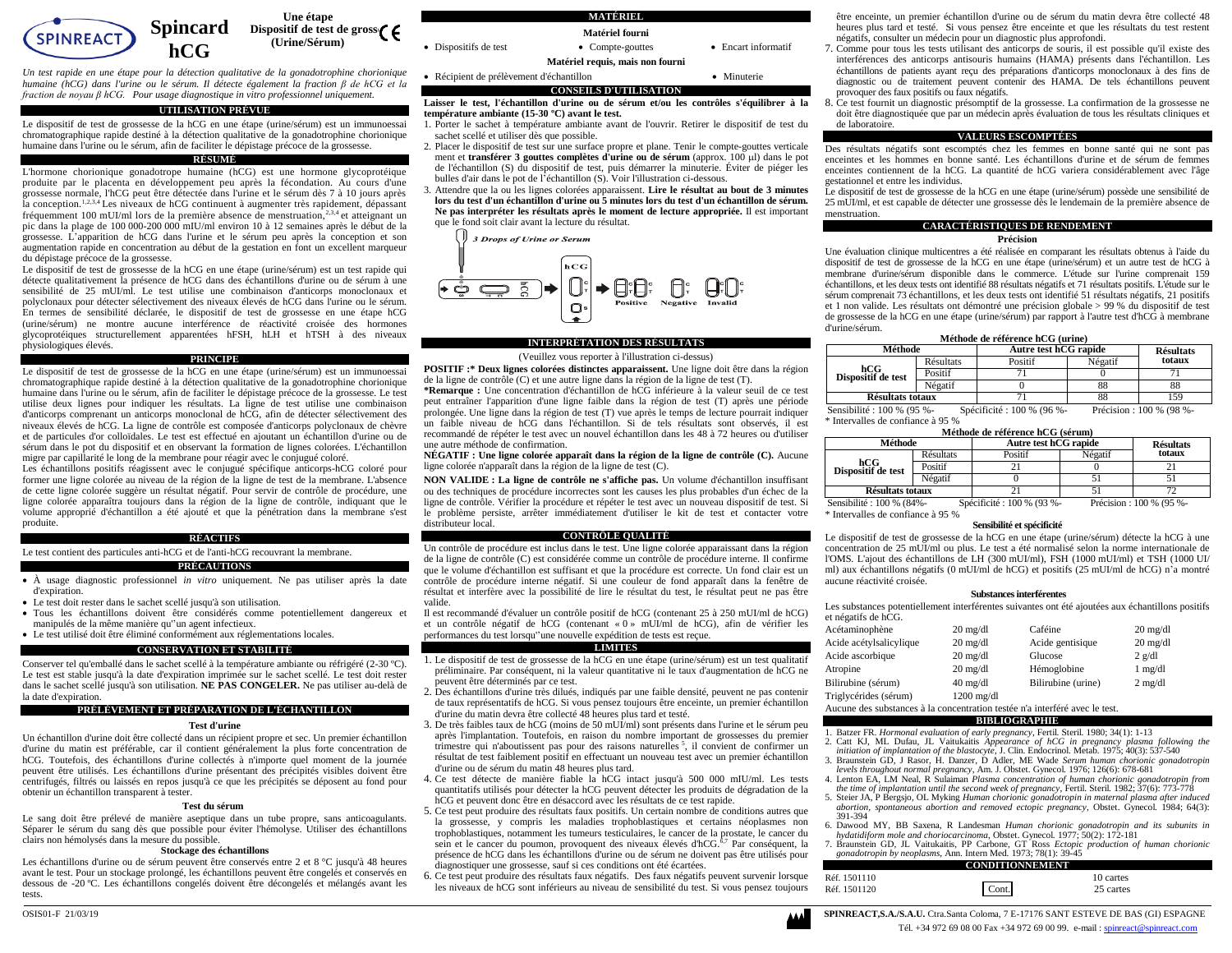

*Un test rapide en une étape pour la détection qualitative de la gonadotrophine chorionique humaine (hCG) dans l'urine ou le sérum. Il détecte également la fraction β de hCG et la fraction de noyau β hCG. Pour usage diagnostique in vitro professionnel uniquement.*

#### **UTILISATION PRÉVUE**

Le dispositif de test de grossesse de la hCG en une étape (urine/sérum) est un immunoessai chromatographique rapide destiné à la détection qualitative de la gonadotrophine chorionique humaine dans l'urine ou le sérum, afin de faciliter le dépistage précoce de la grossesse.

#### **RÉSUMÉ**

L'hormone chorionique gonadotrope humaine (hCG) est une hormone glycoprotéique produite par le placenta en développement peu après la fécondation. Au cours d'une grossesse normale, l'hCG peut être détectée dans l'urine et le sérum dès 7 à 10 jours après la conception.<sup>1,2,3,4</sup> Les niveaux de hCG continuent à augmenter très rapidement, dépassant fréquemment 100 mUI/ml lors de la première absence de menstruation,<sup>2,3,4</sup> et atteignant un pic dans la plage de 100 000-200 000 mIU/ml environ 10 à 12 semaines après le début de la grossesse. L'apparition de hCG dans l'urine et le sérum peu après la conception et son augmentation rapide en concentration au début de la gestation en font un excellent marqueur du dépistage précoce de la grossesse.

Le dispositif de test de grossesse de la hCG en une étape (urine/sérum) est un test rapide qui détecte qualitativement la présence de hCG dans des échantillons d'urine ou de sérum à une sensibilité de 25 mUI/ml. Le test utilise une combinaison d'anticorps monoclonaux et polyclonaux pour détecter sélectivement des niveaux élevés de hCG dans l'urine ou le sérum. En termes de sensibilité déclarée, le dispositif de test de grossesse en une étape hCG (urine/sérum) ne montre aucune interférence de réactivité croisée des hormones glycoprotéiques structurellement apparentées hFSH, hLH et hTSH à des niveaux physiologiques élevés.

#### **PRINCIPE**

Le dispositif de test de grossesse de la hCG en une étape (urine/sérum) est un immunoessai chromatographique rapide destiné à la détection qualitative de la gonadotrophine chorionique humaine dans l'urine ou le sérum, afin de faciliter le dépistage précoce de la grossesse. Le test utilise deux lignes pour indiquer les résultats. La ligne de test utilise une combinaison d'anticorps comprenant un anticorps monoclonal de hCG, afin de détecter sélectivement des niveaux élevés de hCG. La ligne de contrôle est composée d'anticorps polyclonaux de chèvre et de particules d'or colloïdales. Le test est effectué en ajoutant un échantillon d'urine ou de sérum dans le pot du dispositif et en observant la formation de lignes colorées. L'échantillon migre par capillarité le long de la membrane pour réagir avec le conjugué coloré.

Les échantillons positifs réagissent avec le conjugué spécifique anticorps-hCG coloré pour former une ligne colorée au niveau de la région de la ligne de test de la membrane. L'absence de cette ligne colorée suggère un résultat négatif. Pour servir de contrôle de procédure, une ligne colorée apparaîtra toujours dans la région de la ligne de contrôle, indiquant que le volume approprié d'échantillon a été ajouté et que la pénétration dans la membrane s'est produite.

#### **RÉACTIFS**

Le test contient des particules anti-hCG et de l'anti-hCG recouvrant la membrane. **PRÉCAUTIONS**

- À usage diagnostic professionnel *in vitro* uniquement. Ne pas utiliser après la date d'expiration.
- Le test doit rester dans le sachet scellé jusqu'à son utilisation.
- Tous les échantillons doivent être considérés comme potentiellement dangereux et manipulés de la même manière qu''un agent infectieux.
- Le test utilisé doit être éliminé conformément aux réglementations locales.

## **CONSERVATION ET STABILITÉ**

Conserver tel qu'emballé dans le sachet scellé à la température ambiante ou réfrigéré (2-30 ºC). Le test est stable jusqu'à la date d'expiration imprimée sur le sachet scellé. Le test doit rester dans le sachet scellé jusqu'à son utilisation. **NE PAS CONGELER.** Ne pas utiliser au-delà de la date d'expiration.

#### **PRÉLÈVEMENT ET PRÉPARATION DE L'ÉCHANTILLON**

#### **Test d'urine**

Un échantillon d'urine doit être collecté dans un récipient propre et sec. Un premier échantillon d'urine du matin est préférable, car il contient généralement la plus forte concentration de hCG. Toutefois, des échantillons d'urine collectés à n'importe quel moment de la journée peuvent être utilisés. Les échantillons d'urine présentant des précipités visibles doivent être centrifugés, filtrés ou laissés en repos jusqu'à ce que les précipités se déposent au fond pour obtenir un échantillon transparent à tester.

#### **Test du sérum**

Le sang doit être prélevé de manière aseptique dans un tube propre, sans anticoagulants. Séparer le sérum du sang dès que possible pour éviter l'hémolyse. Utiliser des échantillons clairs non hémolysés dans la mesure du possible.

#### **Stockage des échantillons**

Les échantillons d'urine ou de sérum peuvent être conservés entre 2 et 8 °C jusqu'à 48 heures avant le test. Pour un stockage prolongé, les échantillons peuvent être congelés et conservés en dessous de -20 ºC. Les échantillons congelés doivent être décongelés et mélangés avant les tests.



**Laisser le test, l'échantillon d'urine ou de sérum et/ou les contrôles s'équilibrer à la température ambiante (15-30 ºC) avant le test.**

- 1. Porter le sachet à température ambiante avant de l'ouvrir. Retirer le dispositif de test du sachet scellé et utiliser dès que possible.
- 2. Placer le dispositif de test sur une surface propre et plane. Tenir le compte-gouttes verticale ment et **transférer 3 gouttes complètes d'urine ou de sérum** (approx. 100 µl) dans le pot de l'échantillon (S) du dispositif de test, puis démarrer la minuterie. Éviter de piéger les bulles d'air dans le pot de l'échantillon (S). Voir l'illustration ci-dessous.

3. Attendre que la ou les lignes colorées apparaissent. **Lire le résultat au bout de 3 minutes lors du test d'un échantillon d'urine ou 5 minutes lors du test d'un échantillon de sérum. Ne pas interpréter les résultats après le moment de lecture appropriée.** Il est important que le fond soit clair avant la lecture du résultat.



#### **INTERPRÉTATION DES RÉSULTATS**

(Veuillez vous reporter à l'illustration ci-dessus)

**POSITIF :\* Deux lignes colorées distinctes apparaissent.** Une ligne doit être dans la région de la ligne de contrôle (C) et une autre ligne dans la région de la ligne de test (T).

**\*Remarque :** Une concentration d'échantillon de hCG inférieure à la valeur seuil de ce test peut entraîner l'apparition d'une ligne faible dans la région de test (T) après une période prolongée. Une ligne dans la région de test (T) vue après le temps de lecture pourrait indiquer un faible niveau de hCG dans l'échantillon. Si de tels résultats sont observés, il est recommandé de répéter le test avec un nouvel échantillon dans les 48 à 72 heures ou d'utiliser une autre méthode de confirmation.

**NÉGATIF : Une ligne colorée apparaît dans la région de la ligne de contrôle (C).** Aucune ligne colorée n'apparaît dans la région de la ligne de test (C).

**NON VALIDE : La ligne de contrôle ne s'affiche pas.** Un volume d'échantillon insuffisant ou des techniques de procédure incorrectes sont les causes les plus probables d'un échec de la ligne de contrôle. Vérifier la procédure et répéter le test avec un nouveau dispositif de test. Si le problème persiste, arrêter immédiatement d'utiliser le kit de test et contacter votre distributeur local.

#### **CONTRÔLE QUALITÉ**

Un contrôle de procédure est inclus dans le test. Une ligne colorée apparaissant dans la région de la ligne de contrôle (C) est considérée comme un contrôle de procédure interne. Il confirme que le volume d'échantillon est suffisant et que la procédure est correcte. Un fond clair est un contrôle de procédure interne négatif. Si une couleur de fond apparaît dans la fenêtre de résultat et interfère avec la possibilité de lire le résultat du test, le résultat peut ne pas être valide.

Il est recommandé d'évaluer un contrôle positif de hCG (contenant 25 à 250 mUI/ml de hCG) et un contrôle négatif de hCG (contenant « 0 » mUI/ml de hCG), afin de vérifier les performances du test lorsqu''une nouvelle expédition de tests est reçue.

## **LIMITES**

- 1. Le dispositif de test de grossesse de la hCG en une étape (urine/sérum) est un test qualitatif préliminaire. Par conséquent, ni la valeur quantitative ni le taux d'augmentation de hCG ne peuvent être déterminés par ce test.
- 2. Des échantillons d'urine très dilués, indiqués par une faible densité, peuvent ne pas contenir de taux représentatifs de hCG. Si vous pensez toujours être enceinte, un premier échantillon d'urine du matin devra être collecté 48 heures plus tard et testé.
- 3. De très faibles taux de hCG (moins de 50 mUI/ml) sont présents dans l'urine et le sérum peu après l'implantation. Toutefois, en raison du nombre important de grossesses du premier trimestre qui n'aboutissent pas pour des raisons naturelles<sup>5</sup>, il convient de confirmer un résultat de test faiblement positif en effectuant un nouveau test avec un premier échantillon d'urine ou de sérum du matin 48 heures plus tard.
- 4. Ce test détecte de manière fiable la hCG intact jusqu'à 500 000 mIU/ml. Les tests quantitatifs utilisés pour détecter la hCG peuvent détecter les produits de dégradation de la hCG et peuvent donc être en désaccord avec les résultats de ce test rapide.
- 5. Ce test peut produire des résultats faux positifs. Un certain nombre de conditions autres que la grossesse, y compris les maladies trophoblastiques et certains néoplasmes non trophoblastiques, notamment les tumeurs testiculaires, le cancer de la prostate, le cancer du sein et le cancer du poumon, provoquent des niveaux élevés d'hCG.<sup>6,7</sup> Par conséquent, la présence de hCG dans les échantillons d'urine ou de sérum ne doivent pas être utilisés pour diagnostiquer une grossesse, sauf si ces conditions ont été écartées.
- 6. Ce test peut produire des résultats faux négatifs. Des faux négatifs peuvent survenir lorsque les niveaux de hCG sont inférieurs au niveau de sensibilité du test. Si vous pensez toujours

être enceinte, un premier échantillon d'urine ou de sérum du matin devra être collecté 48 heures plus tard et testé. Si vous pensez être enceinte et que les résultats du test restent négatifs, consulter un médecin pour un diagnostic plus approfondi.

- 7. Comme pour tous les tests utilisant des anticorps de souris, il est possible qu'il existe des interférences des anticorps antisouris humains (HAMA) présents dans l'échantillon. Les échantillons de patients ayant reçu des préparations d'anticorps monoclonaux à des fins de diagnostic ou de traitement peuvent contenir des HAMA. De tels échantillons peuvent provoquer des faux positifs ou faux négatifs.
- 8. Ce test fournit un diagnostic présomptif de la grossesse. La confirmation de la grossesse ne doit être diagnostiquée que par un médecin après évaluation de tous les résultats cliniques et de laboratoire.

#### **VALEURS ESCOMPTÉES**

Des résultats négatifs sont escomptés chez les femmes en bonne santé qui ne sont pas enceintes et les hommes en bonne santé. Les échantillons d'urine et de sérum de femmes enceintes contiennent de la hCG. La quantité de hCG variera considérablement avec l'âge gestationnel et entre les individus.

Le dispositif de test de grossesse de la hCG en une étape (urine/sérum) possède une sensibilité de 25 mUI/ml, et est capable de détecter une grossesse dès le lendemain de la première absence de menstruation.

#### **CARACTÉRISTIQUES DE RENDEMENT**

**Précision** 

Une évaluation clinique multicentres a été réalisée en comparant les résultats obtenus à l'aide du dispositif de test de grossesse de la hCG en une étape (urine/sérum) et un autre test de hCG à membrane d'urine/sérum disponible dans le commerce. L'étude sur l'urine comprenait 159 échantillons, et les deux tests ont identifié 88 résultats négatifs et 71 résultats positifs. L'étude sur le sérum comprenait 73 échantillons, et les deux tests ont identifié 51 résultats négatifs, 21 positifs et 1 non valide. Les résultats ont démontré une précision globale > 99 % du dispositif de test de grossesse de la hCG en une étape (urine/sérum) par rapport à l'autre test d'hCG à membrane d'urine/sérum.

#### **Méthode de référence hCG (urine)**

| Méthode                   |                  | Autre test hCG rapide |         | <b>Résultats</b> |
|---------------------------|------------------|-----------------------|---------|------------------|
|                           | <b>Résultats</b> | Positif               | Négatif | totaux           |
| hCG<br>Dispositif de test | Positif          |                       |         |                  |
|                           | Négatif          |                       |         |                  |
| Résultats totaux          |                  |                       |         |                  |

Sensibilité : 100 % (95 %- \* Intervalles de confiance à 95 % Spécificité : 100 % (96 %- Précision : 100 % (98 %-

# <sup>95 %</sup><br>Méthode de référence hCG (sérum)

| Méthode                   |           | Autre test hCG rapide |         | <b>Résultats</b> |
|---------------------------|-----------|-----------------------|---------|------------------|
|                           | Résultats | Positif               | Négatif | totaux           |
| hCG<br>Dispositif de test | Positif   |                       |         |                  |
|                           | Négatif   |                       |         |                  |
| Résultats totaux          |           |                       |         |                  |

Sensibilité : 100 % (84%-  $*$  Intervalles de confiance à 95 % Spécificité : 100 % (93 %- Précision : 100 % (95 %-

#### **Sensibilité et spécificité**

Le dispositif de test de grossesse de la hCG en une étape (urine/sérum) détecte la hCG à une concentration de 25 mUI/ml ou plus. Le test a été normalisé selon la norme internationale de l'OMS. L'ajout des échantillons de LH (300 mUI/ml), FSH (1000 mUI/ml) et TSH (1000 UI/ ml) aux échantillons négatifs (0 mUI/ml de hCG) et positifs (25 mUI/ml de hCG) n'a montré aucune réactivité croisée.

#### **Substances interférentes**

Les substances potentiellement interférentes suivantes ont été ajoutées aux échantillons positifs

| et négatifs de hCG.     |                    |                    |                    |
|-------------------------|--------------------|--------------------|--------------------|
| Acétaminophène          | $20 \text{ mg/dl}$ | Caféine            | $20 \text{ mg/dl}$ |
| Acide acétylsalicylique | $20 \text{ mg/dl}$ | Acide gentisique   | $20 \text{ mg/dl}$ |
| Acide ascorbique        | $20 \text{ mg/dl}$ | Glucose            | $2$ g/dl           |
| Atropine                | $20 \text{ mg/dl}$ | Hémoglobine        | $1$ mg/dl          |
| Bilirubine (sérum)      | $40 \text{ mg/dl}$ | Bilirubine (urine) | $2$ mg/dl          |
| Triglycérides (sérum)   | $1200$ mg/dl       |                    |                    |

Aucune des substances à la concentration testée n'a interféré avec le test.

## **BIBLIOGRAPHIE**

1. Batzer FR. *Hormonal evaluation of early pregnancy*, Fertil. Steril*.* 1980; 34(1): 1-13

- 2. Catt KJ, ML Dufau, JL Vaitukaitis *Appearance of hCG in pregnancy plasma following the initiation of implantation of the blastocyte*, J. Clin. Endocrinol. Metab*.* 1975; 40(3): 537-540
- 3. Braunstein GD, J Rasor, H. Danzer, D Adler, ME Wade *Serum human chorionic gonadotropin*
- levels throughout normal pregnancy, Am. J. Obstet. Gynecol. 1976; 126(6): 678-681<br>4. Lenton EA, LM Neal, R Sulaiman Plasma concentration of human chorionic gonadotropin from<br>the time of implantation until the second week o
- 5. Steier JA, P Bergsjo, OL Myking *Human chorionic gonadotropin in maternal plasma after induced abortion, spontaneous abortion and removed ectopic pregnancy*, Obstet. Gynecol*.* 1984; 64(3): 391-394
- 6. Dawood MY, BB Saxena, R Landesman *Human chorionic gonadotropin and its subunits in hydatidiform mole and choriocarcinoma*, Obstet. Gynecol*.* 1977; 50(2): 172-181
- 7. Braunstein GD, JL Vaitukaitis, PP Carbone, GT Ross *Ectopic production of human chorionic gonadotropin by neoplasms*, Ann. Intern Med*.* 1973; 78(1): 39-45

#### **CONDITIONNEMENT**

| Réf. 1501110 |       | 10 cartes            |  |  |  |
|--------------|-------|----------------------|--|--|--|
| Réf. 1501120 | Cont. | <sup>25</sup> cartes |  |  |  |

OSIS01-F 21/03/19 **SPINREACT,S.A./S.A.U.** Ctra.Santa Coloma, 7 E-17176 SANT ESTEVE DE BAS (GI) ESPAGNE Tél. +34 972 69 08 00 Fax +34 972 69 00 99. e-mail : spinreact@spinreact.com